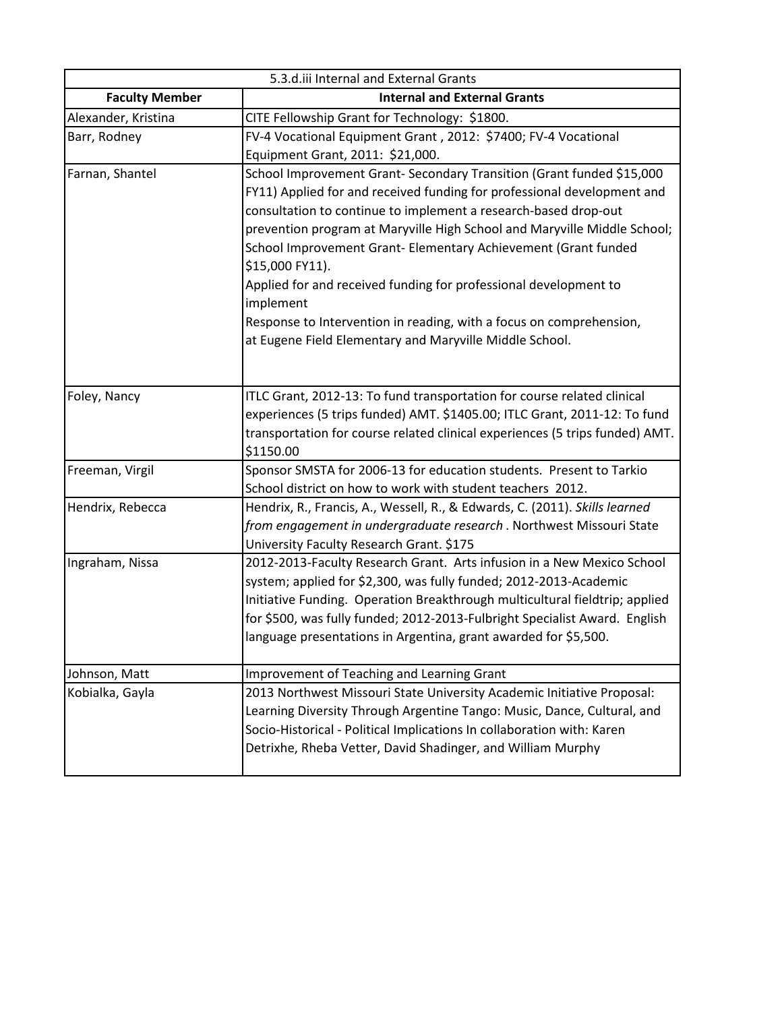| 5.3.d.iii Internal and External Grants |                                                                                   |
|----------------------------------------|-----------------------------------------------------------------------------------|
| <b>Faculty Member</b>                  | <b>Internal and External Grants</b>                                               |
| Alexander, Kristina                    | CITE Fellowship Grant for Technology: \$1800.                                     |
| Barr, Rodney                           | FV-4 Vocational Equipment Grant, 2012: \$7400; FV-4 Vocational                    |
|                                        | Equipment Grant, 2011: \$21,000.                                                  |
| Farnan, Shantel                        | School Improvement Grant- Secondary Transition (Grant funded \$15,000             |
|                                        | FY11) Applied for and received funding for professional development and           |
|                                        | consultation to continue to implement a research-based drop-out                   |
|                                        | prevention program at Maryville High School and Maryville Middle School;          |
|                                        | School Improvement Grant- Elementary Achievement (Grant funded<br>\$15,000 FY11). |
|                                        | Applied for and received funding for professional development to<br>implement     |
|                                        | Response to Intervention in reading, with a focus on comprehension,               |
|                                        | at Eugene Field Elementary and Maryville Middle School.                           |
|                                        |                                                                                   |
|                                        |                                                                                   |
| Foley, Nancy                           | ITLC Grant, 2012-13: To fund transportation for course related clinical           |
|                                        | experiences (5 trips funded) AMT. \$1405.00; ITLC Grant, 2011-12: To fund         |
|                                        | transportation for course related clinical experiences (5 trips funded) AMT.      |
|                                        | \$1150.00                                                                         |
| Freeman, Virgil                        | Sponsor SMSTA for 2006-13 for education students. Present to Tarkio               |
|                                        | School district on how to work with student teachers 2012.                        |
| Hendrix, Rebecca                       | Hendrix, R., Francis, A., Wessell, R., & Edwards, C. (2011). Skills learned       |
|                                        | from engagement in undergraduate research. Northwest Missouri State               |
|                                        | University Faculty Research Grant. \$175                                          |
| Ingraham, Nissa                        | 2012-2013-Faculty Research Grant. Arts infusion in a New Mexico School            |
|                                        | system; applied for \$2,300, was fully funded; 2012-2013-Academic                 |
|                                        | Initiative Funding. Operation Breakthrough multicultural fieldtrip; applied       |
|                                        | for \$500, was fully funded; 2012-2013-Fulbright Specialist Award. English        |
|                                        | language presentations in Argentina, grant awarded for \$5,500.                   |
| Johnson, Matt                          | Improvement of Teaching and Learning Grant                                        |
| Kobialka, Gayla                        | 2013 Northwest Missouri State University Academic Initiative Proposal:            |
|                                        | Learning Diversity Through Argentine Tango: Music, Dance, Cultural, and           |
|                                        | Socio-Historical - Political Implications In collaboration with: Karen            |
|                                        | Detrixhe, Rheba Vetter, David Shadinger, and William Murphy                       |
|                                        |                                                                                   |